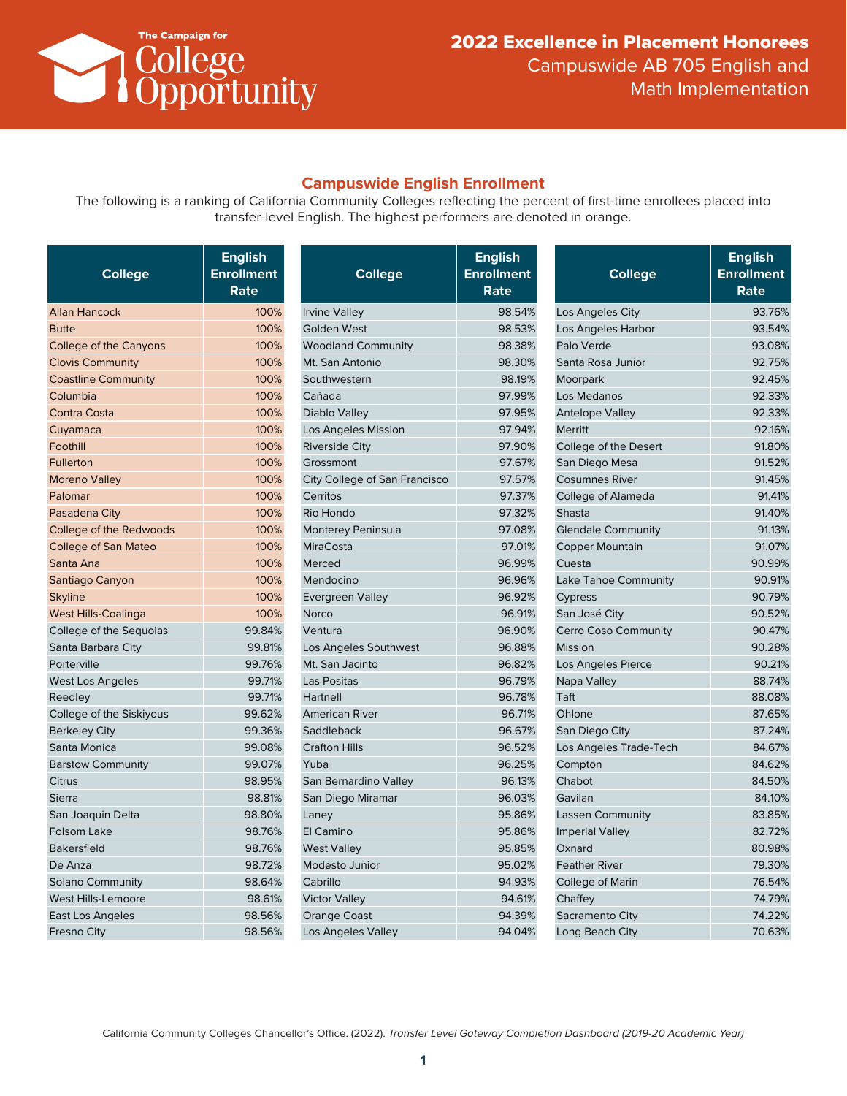

### **Campuswide English Enrollment**

The following is a ranking of California Community Colleges reflecting the percent of first-time enrollees placed into transfer-level English. The highest performers are denoted in orange.

| <b>College</b>                 | <b>English</b><br><b>Enrollment</b><br>Rate | <b>College</b>                | <b>English</b><br><b>Enrollment</b><br>Rate | <b>College</b>            | <b>English</b><br><b>Enrollment</b><br>Rate |
|--------------------------------|---------------------------------------------|-------------------------------|---------------------------------------------|---------------------------|---------------------------------------------|
| <b>Allan Hancock</b>           | 100%                                        | <b>Irvine Valley</b>          | 98.54%                                      | Los Angeles City          | 93.76%                                      |
| <b>Butte</b>                   | 100%                                        | <b>Golden West</b>            | 98.53%                                      | Los Angeles Harbor        | 93.54%                                      |
| College of the Canyons         | 100%                                        | <b>Woodland Community</b>     | 98.38%                                      | Palo Verde                | 93.08%                                      |
| <b>Clovis Community</b>        | 100%                                        | Mt. San Antonio               | 98.30%                                      | Santa Rosa Junior         | 92.75%                                      |
| <b>Coastline Community</b>     | 100%                                        | Southwestern                  | 98.19%                                      | Moorpark                  | 92.45%                                      |
| Columbia                       | 100%                                        | Cañada                        | 97.99%                                      | Los Medanos               | 92.33%                                      |
| <b>Contra Costa</b>            | 100%                                        | <b>Diablo Valley</b>          | 97.95%                                      | <b>Antelope Valley</b>    | 92.33%                                      |
| Cuyamaca                       | 100%                                        | Los Angeles Mission           | 97.94%                                      | Merritt                   | 92.16%                                      |
| Foothill                       | 100%                                        | <b>Riverside City</b>         | 97.90%                                      | College of the Desert     | 91.80%                                      |
| <b>Fullerton</b>               | 100%                                        | Grossmont                     | 97.67%                                      | San Diego Mesa            | 91.52%                                      |
| <b>Moreno Valley</b>           | 100%                                        | City College of San Francisco | 97.57%                                      | <b>Cosumnes River</b>     | 91.45%                                      |
| Palomar                        | 100%                                        | Cerritos                      | 97.37%                                      | College of Alameda        | 91.41%                                      |
| Pasadena City                  | 100%                                        | Rio Hondo                     | 97.32%                                      | Shasta                    | 91.40%                                      |
| <b>College of the Redwoods</b> | 100%                                        | <b>Monterey Peninsula</b>     | 97.08%                                      | <b>Glendale Community</b> | 91.13%                                      |
| College of San Mateo           | 100%                                        | <b>MiraCosta</b>              | 97.01%                                      | <b>Copper Mountain</b>    | 91.07%                                      |
| Santa Ana                      | 100%                                        | Merced                        | 96.99%                                      | Cuesta                    | 90.99%                                      |
| Santiago Canyon                | 100%                                        | Mendocino                     | 96.96%                                      | Lake Tahoe Community      | 90.91%                                      |
| <b>Skyline</b>                 | 100%                                        | <b>Evergreen Valley</b>       | 96.92%                                      | Cypress                   | 90.79%                                      |
| <b>West Hills-Coalinga</b>     | 100%                                        | <b>Norco</b>                  | 96.91%                                      | San José City             | 90.52%                                      |
| College of the Sequoias        | 99.84%                                      | Ventura                       | 96.90%                                      | Cerro Coso Community      | 90.47%                                      |
| Santa Barbara City             | 99.81%                                      | Los Angeles Southwest         | 96.88%                                      | <b>Mission</b>            | 90.28%                                      |
| Porterville                    | 99.76%                                      | Mt. San Jacinto               | 96.82%                                      | Los Angeles Pierce        | 90.21%                                      |
| West Los Angeles               | 99.71%                                      | Las Positas                   | 96.79%                                      | Napa Valley               | 88.74%                                      |
| Reedley                        | 99.71%                                      | Hartnell                      | 96.78%                                      | Taft                      | 88.08%                                      |
| College of the Siskiyous       | 99.62%                                      | <b>American River</b>         | 96.71%                                      | Ohlone                    | 87.65%                                      |
| <b>Berkeley City</b>           | 99.36%                                      | Saddleback                    | 96.67%                                      | San Diego City            | 87.24%                                      |
| Santa Monica                   | 99.08%                                      | <b>Crafton Hills</b>          | 96.52%                                      | Los Angeles Trade-Tech    | 84.67%                                      |
| <b>Barstow Community</b>       | 99.07%                                      | Yuba                          | 96.25%                                      | Compton                   | 84.62%                                      |
| Citrus                         | 98.95%                                      | San Bernardino Valley         | 96.13%                                      | Chabot                    | 84.50%                                      |
| Sierra                         | 98.81%                                      | San Diego Miramar             | 96.03%                                      | Gavilan                   | 84.10%                                      |
| San Joaquin Delta              | 98.80%                                      | Laney                         | 95.86%                                      | <b>Lassen Community</b>   | 83.85%                                      |
| Folsom Lake                    | 98.76%                                      | El Camino                     | 95.86%                                      | <b>Imperial Valley</b>    | 82.72%                                      |
| <b>Bakersfield</b>             | 98.76%                                      | <b>West Valley</b>            | 95.85%                                      | Oxnard                    | 80.98%                                      |
| De Anza                        | 98.72%                                      | Modesto Junior                | 95.02%                                      | <b>Feather River</b>      | 79.30%                                      |
| <b>Solano Community</b>        | 98.64%                                      | Cabrillo                      | 94.93%                                      | College of Marin          | 76.54%                                      |
| West Hills-Lemoore             | 98.61%                                      | <b>Victor Valley</b>          | 94.61%                                      | Chaffey                   | 74.79%                                      |
| East Los Angeles               | 98.56%                                      | <b>Orange Coast</b>           | 94.39%                                      | Sacramento City           | 74.22%                                      |
| <b>Fresno City</b>             | 98.56%                                      | Los Angeles Valley            | 94.04%                                      | Long Beach City           | 70.63%                                      |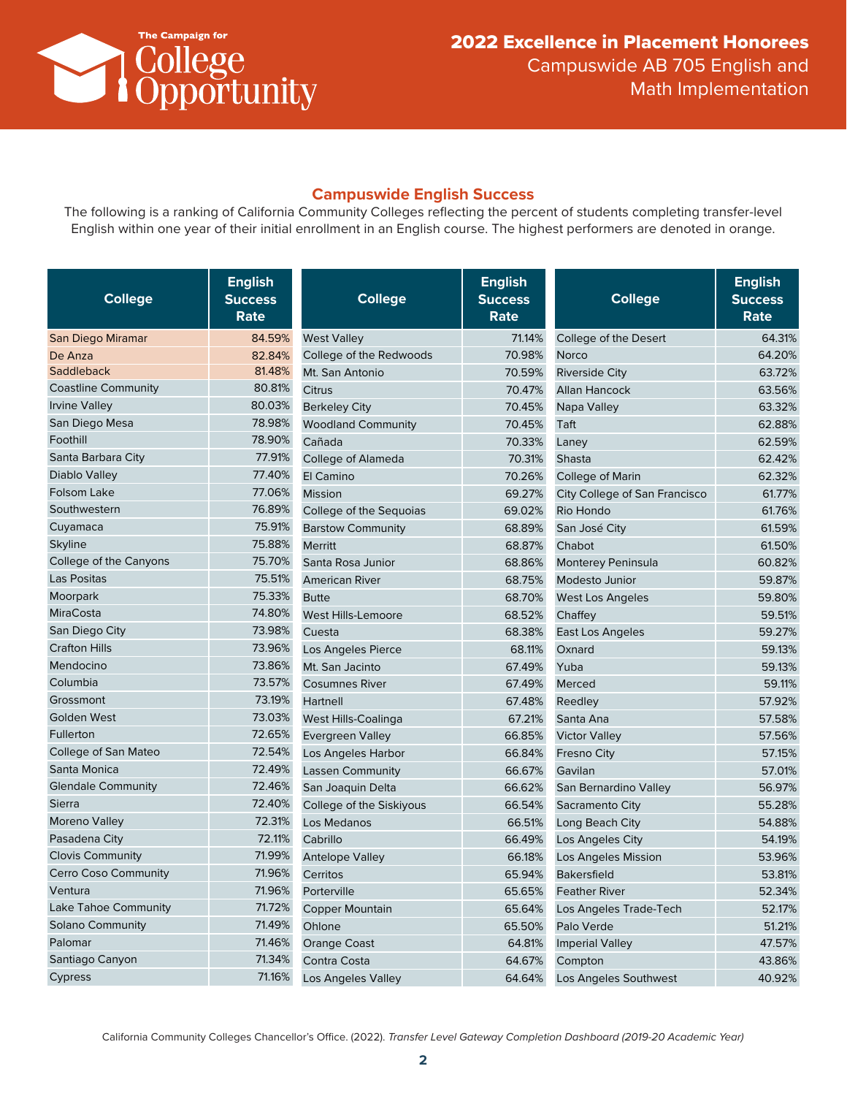

### **Campuswide English Success**

The following is a ranking of California Community Colleges reflecting the percent of students completing transfer-level English within one year of their initial enrollment in an English course. The highest performers are denoted in orange.

| <b>College</b>              | <b>English</b><br><b>Success</b><br>Rate | <b>College</b>            | <b>English</b><br><b>Success</b><br>Rate | <b>College</b>                | <b>English</b><br><b>Success</b><br><b>Rate</b> |
|-----------------------------|------------------------------------------|---------------------------|------------------------------------------|-------------------------------|-------------------------------------------------|
| San Diego Miramar           | 84.59%                                   | <b>West Valley</b>        | 71.14%                                   | College of the Desert         | 64.31%                                          |
| De Anza                     | 82.84%                                   | College of the Redwoods   | 70.98%                                   | Norco                         | 64.20%                                          |
| Saddleback                  | 81.48%                                   | Mt. San Antonio           | 70.59%                                   | <b>Riverside City</b>         | 63.72%                                          |
| <b>Coastline Community</b>  | 80.81%                                   | <b>Citrus</b>             | 70.47%                                   | <b>Allan Hancock</b>          | 63.56%                                          |
| <b>Irvine Valley</b>        | 80.03%                                   | <b>Berkeley City</b>      | 70.45%                                   | Napa Valley                   | 63.32%                                          |
| San Diego Mesa              | 78.98%                                   | <b>Woodland Community</b> | 70.45%                                   | Taft                          | 62.88%                                          |
| Foothill                    | 78.90%                                   | Cañada                    | 70.33%                                   | Laney                         | 62.59%                                          |
| Santa Barbara City          | 77.91%                                   | College of Alameda        | 70.31%                                   | Shasta                        | 62.42%                                          |
| Diablo Valley               | 77.40%                                   | El Camino                 | 70.26%                                   | College of Marin              | 62.32%                                          |
| Folsom Lake                 | 77.06%                                   | <b>Mission</b>            | 69.27%                                   | City College of San Francisco | 61.77%                                          |
| Southwestern                | 76.89%                                   | College of the Sequoias   | 69.02%                                   | Rio Hondo                     | 61.76%                                          |
| Cuyamaca                    | 75.91%                                   | <b>Barstow Community</b>  | 68.89%                                   | San José City                 | 61.59%                                          |
| <b>Skyline</b>              | 75.88%                                   | Merritt                   | 68.87%                                   | Chabot                        | 61.50%                                          |
| College of the Canyons      | 75.70%                                   | Santa Rosa Junior         | 68.86%                                   | <b>Monterey Peninsula</b>     | 60.82%                                          |
| Las Positas                 | 75.51%                                   | <b>American River</b>     | 68.75%                                   | Modesto Junior                | 59.87%                                          |
| Moorpark                    | 75.33%                                   | <b>Butte</b>              | 68.70%                                   | <b>West Los Angeles</b>       | 59.80%                                          |
| <b>MiraCosta</b>            | 74.80%                                   | West Hills-Lemoore        | 68.52%                                   | Chaffey                       | 59.51%                                          |
| San Diego City              | 73.98%                                   | Cuesta                    | 68.38%                                   | East Los Angeles              | 59.27%                                          |
| <b>Crafton Hills</b>        | 73.96%                                   | Los Angeles Pierce        | 68.11%                                   | Oxnard                        | 59.13%                                          |
| Mendocino                   | 73.86%                                   | Mt. San Jacinto           | 67.49%                                   | Yuba                          | 59.13%                                          |
| Columbia                    | 73.57%                                   | <b>Cosumnes River</b>     | 67.49%                                   | Merced                        | 59.11%                                          |
| Grossmont                   | 73.19%                                   | Hartnell                  | 67.48%                                   | Reedley                       | 57.92%                                          |
| Golden West                 | 73.03%                                   | West Hills-Coalinga       | 67.21%                                   | Santa Ana                     | 57.58%                                          |
| Fullerton                   | 72.65%                                   | <b>Evergreen Valley</b>   | 66.85%                                   | <b>Victor Valley</b>          | 57.56%                                          |
| College of San Mateo        | 72.54%                                   | Los Angeles Harbor        | 66.84%                                   | <b>Fresno City</b>            | 57.15%                                          |
| Santa Monica                | 72.49%                                   | <b>Lassen Community</b>   | 66.67%                                   | Gavilan                       | 57.01%                                          |
| <b>Glendale Community</b>   | 72.46%                                   | San Joaquin Delta         | 66.62%                                   | San Bernardino Valley         | 56.97%                                          |
| Sierra                      | 72.40%                                   | College of the Siskiyous  | 66.54%                                   | Sacramento City               | 55.28%                                          |
| Moreno Valley               | 72.31%                                   | Los Medanos               | 66.51%                                   | Long Beach City               | 54.88%                                          |
| Pasadena City               | 72.11%                                   | Cabrillo                  | 66.49%                                   | Los Angeles City              | 54.19%                                          |
| <b>Clovis Community</b>     | 71.99%                                   | <b>Antelope Valley</b>    | 66.18%                                   | Los Angeles Mission           | 53.96%                                          |
| <b>Cerro Coso Community</b> | 71.96%                                   | Cerritos                  | 65.94%                                   | <b>Bakersfield</b>            | 53.81%                                          |
| Ventura                     | 71.96%                                   | Porterville               | 65.65%                                   | <b>Feather River</b>          | 52.34%                                          |
| Lake Tahoe Community        | 71.72%                                   | <b>Copper Mountain</b>    | 65.64%                                   | Los Angeles Trade-Tech        | 52.17%                                          |
| <b>Solano Community</b>     | 71.49%                                   | Ohlone                    | 65.50%                                   | Palo Verde                    | 51.21%                                          |
| Palomar                     | 71.46%                                   | <b>Orange Coast</b>       | 64.81%                                   | <b>Imperial Valley</b>        | 47.57%                                          |
| Santiago Canyon             | 71.34%                                   | Contra Costa              | 64.67%                                   | Compton                       | 43.86%                                          |
| Cypress                     | 71.16%                                   | Los Angeles Valley        | 64.64%                                   | Los Angeles Southwest         | 40.92%                                          |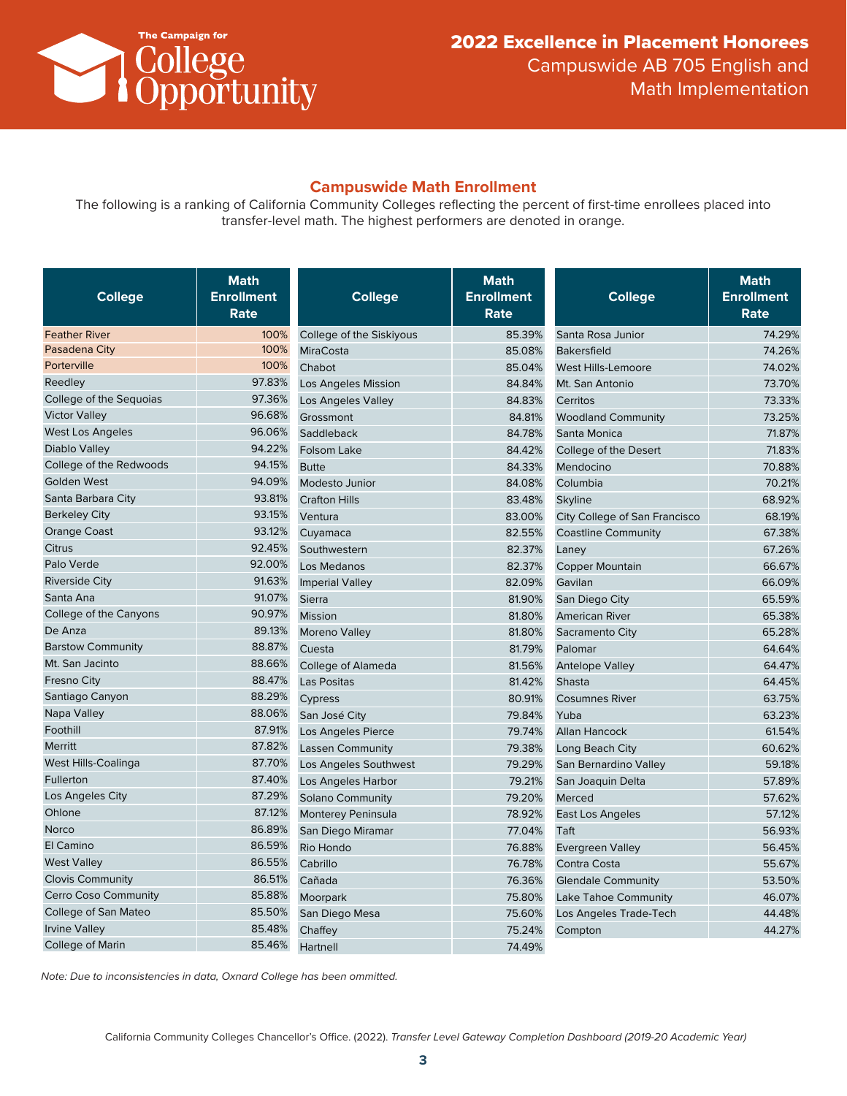

### **Campuswide Math Enrollment**

The following is a ranking of California Community Colleges reflecting the percent of first-time enrollees placed into transfer-level math. The highest performers are denoted in orange.

| College                  | <b>Math</b><br><b>Enrollment</b><br>Rate | <b>College</b>            | <b>Math</b><br><b>Enrollment</b><br>Rate | <b>College</b>                | <b>Math</b><br><b>Enrollment</b><br>Rate |
|--------------------------|------------------------------------------|---------------------------|------------------------------------------|-------------------------------|------------------------------------------|
| <b>Feather River</b>     | 100%                                     | College of the Siskiyous  | 85.39%                                   | Santa Rosa Junior             | 74.29%                                   |
| Pasadena City            | 100%                                     | <b>MiraCosta</b>          | 85.08%                                   | <b>Bakersfield</b>            | 74.26%                                   |
| Porterville              | 100%                                     | Chabot                    | 85.04%                                   | <b>West Hills-Lemoore</b>     | 74.02%                                   |
| Reedley                  | 97.83%                                   | Los Angeles Mission       | 84.84%                                   | Mt. San Antonio               | 73.70%                                   |
| College of the Sequoias  | 97.36%                                   | Los Angeles Valley        | 84.83%                                   | Cerritos                      | 73.33%                                   |
| <b>Victor Valley</b>     | 96.68%                                   | Grossmont                 | 84.81%                                   | <b>Woodland Community</b>     | 73.25%                                   |
| <b>West Los Angeles</b>  | 96.06%                                   | Saddleback                | 84.78%                                   | Santa Monica                  | 71.87%                                   |
| Diablo Valley            | 94.22%                                   | <b>Folsom Lake</b>        | 84.42%                                   | College of the Desert         | 71.83%                                   |
| College of the Redwoods  | 94.15%                                   | <b>Butte</b>              | 84.33%                                   | Mendocino                     | 70.88%                                   |
| <b>Golden West</b>       | 94.09%                                   | Modesto Junior            | 84.08%                                   | Columbia                      | 70.21%                                   |
| Santa Barbara City       | 93.81%                                   | <b>Crafton Hills</b>      | 83.48%                                   | Skyline                       | 68.92%                                   |
| <b>Berkeley City</b>     | 93.15%                                   | Ventura                   | 83.00%                                   | City College of San Francisco | 68.19%                                   |
| <b>Orange Coast</b>      | 93.12%                                   | Cuyamaca                  | 82.55%                                   | <b>Coastline Community</b>    | 67.38%                                   |
| Citrus                   | 92.45%                                   | Southwestern              | 82.37%                                   | Laney                         | 67.26%                                   |
| Palo Verde               | 92.00%                                   | Los Medanos               | 82.37%                                   | Copper Mountain               | 66.67%                                   |
| <b>Riverside City</b>    | 91.63%                                   | <b>Imperial Valley</b>    | 82.09%                                   | Gavilan                       | 66.09%                                   |
| Santa Ana                | 91.07%                                   | Sierra                    | 81.90%                                   | San Diego City                | 65.59%                                   |
| College of the Canyons   | 90.97%                                   | Mission                   | 81.80%                                   | <b>American River</b>         | 65.38%                                   |
| De Anza                  | 89.13%                                   | <b>Moreno Valley</b>      | 81.80%                                   | Sacramento City               | 65.28%                                   |
| <b>Barstow Community</b> | 88.87%                                   | Cuesta                    | 81.79%                                   | Palomar                       | 64.64%                                   |
| Mt. San Jacinto          | 88.66%                                   | College of Alameda        | 81.56%                                   | <b>Antelope Valley</b>        | 64.47%                                   |
| Fresno City              | 88.47%                                   | Las Positas               | 81.42%                                   | Shasta                        | 64.45%                                   |
| Santiago Canyon          | 88.29%                                   | Cypress                   | 80.91%                                   | <b>Cosumnes River</b>         | 63.75%                                   |
| Napa Valley              | 88.06%                                   | San José City             | 79.84%                                   | Yuba                          | 63.23%                                   |
| Foothill                 | 87.91%                                   | Los Angeles Pierce        | 79.74%                                   | <b>Allan Hancock</b>          | 61.54%                                   |
| <b>Merritt</b>           | 87.82%                                   | <b>Lassen Community</b>   | 79.38%                                   | Long Beach City               | 60.62%                                   |
| West Hills-Coalinga      | 87.70%                                   | Los Angeles Southwest     | 79.29%                                   | San Bernardino Valley         | 59.18%                                   |
| Fullerton                | 87.40%                                   | Los Angeles Harbor        | 79.21%                                   | San Joaquin Delta             | 57.89%                                   |
| Los Angeles City         | 87.29%                                   | Solano Community          | 79.20%                                   | Merced                        | 57.62%                                   |
| Ohlone                   | 87.12%                                   | <b>Monterey Peninsula</b> | 78.92%                                   | East Los Angeles              | 57.12%                                   |
| Norco                    | 86.89%                                   | San Diego Miramar         | 77.04%                                   | Taft                          | 56.93%                                   |
| El Camino                | 86.59%                                   | Rio Hondo                 | 76.88%                                   | <b>Evergreen Valley</b>       | 56.45%                                   |
| <b>West Valley</b>       | 86.55%                                   | Cabrillo                  | 76.78%                                   | Contra Costa                  | 55.67%                                   |
| <b>Clovis Community</b>  | 86.51%                                   | Cañada                    | 76.36%                                   | <b>Glendale Community</b>     | 53.50%                                   |
| Cerro Coso Community     | 85.88%                                   | Moorpark                  | 75.80%                                   | Lake Tahoe Community          | 46.07%                                   |
| College of San Mateo     | 85.50%                                   | San Diego Mesa            | 75.60%                                   | Los Angeles Trade-Tech        | 44.48%                                   |
| <b>Irvine Valley</b>     | 85.48%                                   | Chaffey                   | 75.24%                                   | Compton                       | 44.27%                                   |
| College of Marin         | 85.46%                                   | Hartnell                  | 74.49%                                   |                               |                                          |

*Note: Due to inconsistencies in data, Oxnard College has been ommitted.*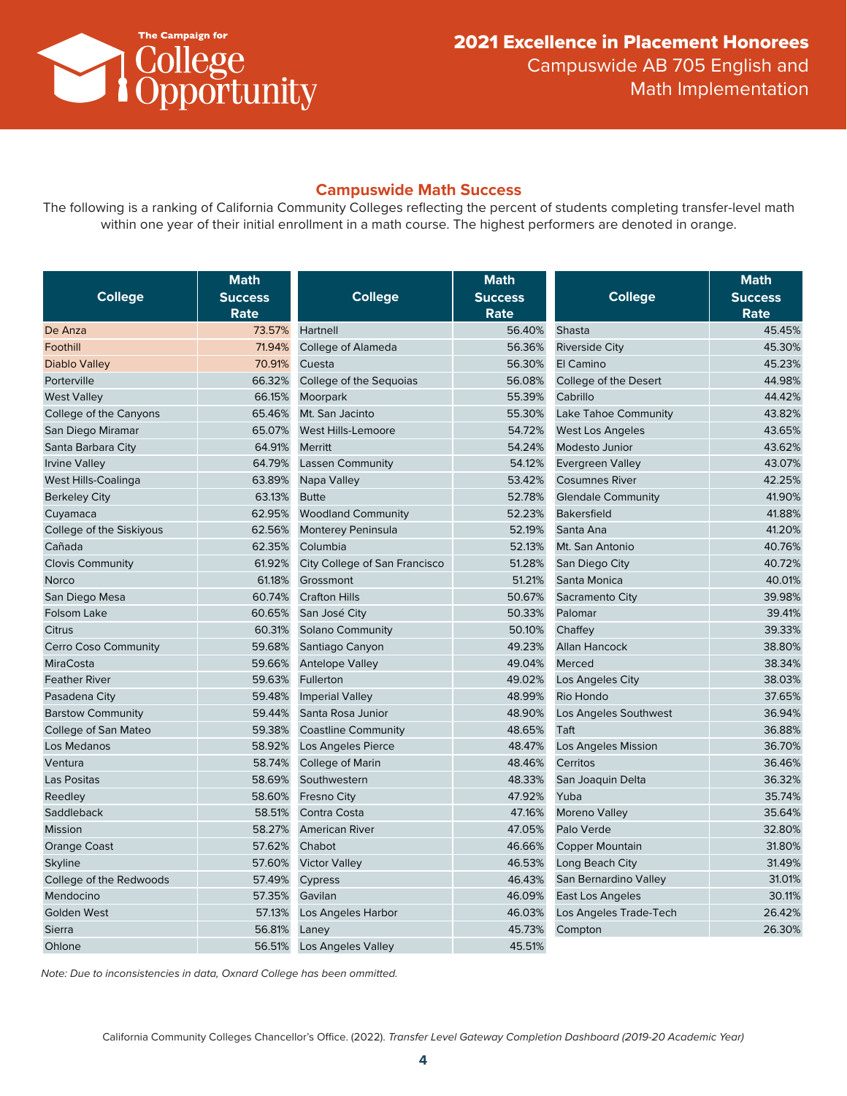

#### **Campuswide Math Success**

The following is a ranking of California Community Colleges reflecting the percent of students completing transfer-level math within one year of their initial enrollment in a math course. The highest performers are denoted in orange.

| <b>College</b>              | <b>Math</b><br><b>Success</b> | <b>College</b>                | <b>Math</b><br><b>Success</b> | <b>College</b>            | <b>Math</b><br><b>Success</b> |
|-----------------------------|-------------------------------|-------------------------------|-------------------------------|---------------------------|-------------------------------|
|                             | Rate                          |                               | <b>Rate</b>                   |                           | Rate                          |
| De Anza                     | 73.57%                        | Hartnell                      | 56.40%                        | Shasta                    | 45.45%                        |
| Foothill                    | 71.94%                        | College of Alameda            | 56.36%                        | <b>Riverside City</b>     | 45.30%                        |
| Diablo Valley               | 70.91%                        | Cuesta                        | 56.30%                        | El Camino                 | 45.23%                        |
| Porterville                 | 66.32%                        | College of the Seguoias       | 56.08%                        | College of the Desert     | 44.98%                        |
| <b>West Valley</b>          | 66.15%                        | Moorpark                      | 55.39%                        | Cabrillo                  | 44.42%                        |
| College of the Canyons      | 65.46%                        | Mt. San Jacinto               | 55.30%                        | Lake Tahoe Community      | 43.82%                        |
| San Diego Miramar           | 65.07%                        | <b>West Hills-Lemoore</b>     | 54.72%                        | West Los Angeles          | 43.65%                        |
| Santa Barbara City          | 64.91%                        | <b>Merritt</b>                | 54.24%                        | Modesto Junior            | 43.62%                        |
| <b>Irvine Valley</b>        | 64.79%                        | <b>Lassen Community</b>       | 54.12%                        | <b>Evergreen Valley</b>   | 43.07%                        |
| West Hills-Coalinga         | 63.89%                        | Napa Valley                   | 53.42%                        | <b>Cosumnes River</b>     | 42.25%                        |
| <b>Berkeley City</b>        | 63.13%                        | <b>Butte</b>                  | 52.78%                        | <b>Glendale Community</b> | 41.90%                        |
| Cuyamaca                    | 62.95%                        | <b>Woodland Community</b>     | 52.23%                        | <b>Bakersfield</b>        | 41.88%                        |
| College of the Siskiyous    | 62.56%                        | <b>Monterey Peninsula</b>     | 52.19%                        | Santa Ana                 | 41.20%                        |
| Cañada                      | 62.35%                        | Columbia                      | 52.13%                        | Mt. San Antonio           | 40.76%                        |
| <b>Clovis Community</b>     | 61.92%                        | City College of San Francisco | 51.28%                        | San Diego City            | 40.72%                        |
| Norco                       | 61.18%                        | Grossmont                     | 51.21%                        | Santa Monica              | 40.01%                        |
| San Diego Mesa              | 60.74%                        | <b>Crafton Hills</b>          | 50.67%                        | Sacramento City           | 39.98%                        |
| Folsom Lake                 | 60.65%                        | San José City                 | 50.33%                        | Palomar                   | 39.41%                        |
| Citrus                      | 60.31%                        | Solano Community              | 50.10%                        | Chaffey                   | 39.33%                        |
| <b>Cerro Coso Community</b> | 59.68%                        | Santiago Canyon               | 49.23%                        | <b>Allan Hancock</b>      | 38.80%                        |
| <b>MiraCosta</b>            | 59.66%                        | <b>Antelope Valley</b>        | 49.04%                        | Merced                    | 38.34%                        |
| <b>Feather River</b>        | 59.63%                        | Fullerton                     | 49.02%                        | Los Angeles City          | 38.03%                        |
| Pasadena City               | 59.48%                        | <b>Imperial Valley</b>        | 48.99%                        | Rio Hondo                 | 37.65%                        |
| <b>Barstow Community</b>    | 59.44%                        | Santa Rosa Junior             | 48.90%                        | Los Angeles Southwest     | 36.94%                        |
| College of San Mateo        | 59.38%                        | <b>Coastline Community</b>    | 48.65%                        | Taft                      | 36.88%                        |
| Los Medanos                 | 58.92%                        | Los Angeles Pierce            | 48.47%                        | Los Angeles Mission       | 36.70%                        |
| Ventura                     | 58.74%                        | <b>College of Marin</b>       | 48.46%                        | Cerritos                  | 36.46%                        |
| Las Positas                 | 58.69%                        | Southwestern                  | 48.33%                        | San Joaquin Delta         | 36.32%                        |
| Reedley                     | 58.60%                        | Fresno City                   | 47.92%                        | Yuba                      | 35.74%                        |
| Saddleback                  | 58.51%                        | Contra Costa                  | 47.16%                        | Moreno Valley             | 35.64%                        |
| <b>Mission</b>              | 58.27%                        | <b>American River</b>         | 47.05%                        | Palo Verde                | 32.80%                        |
| <b>Orange Coast</b>         | 57.62%                        | Chabot                        | 46.66%                        | <b>Copper Mountain</b>    | 31.80%                        |
| <b>Skyline</b>              | 57.60%                        | <b>Victor Valley</b>          | 46.53%                        | Long Beach City           | 31.49%                        |
| College of the Redwoods     | 57.49%                        | Cypress                       | 46.43%                        | San Bernardino Valley     | 31.01%                        |
| Mendocino                   | 57.35%                        | Gavilan                       | 46.09%                        | East Los Angeles          | 30.11%                        |
| Golden West                 | 57.13%                        | Los Angeles Harbor            | 46.03%                        | Los Angeles Trade-Tech    | 26.42%                        |
| Sierra                      | 56.81%                        | Laney                         | 45.73%                        | Compton                   | 26.30%                        |
| Ohlone                      | 56.51%                        | <b>Los Angeles Valley</b>     | 45.51%                        |                           |                               |

*Note: Due to inconsistencies in data, Oxnard College has been ommitted.*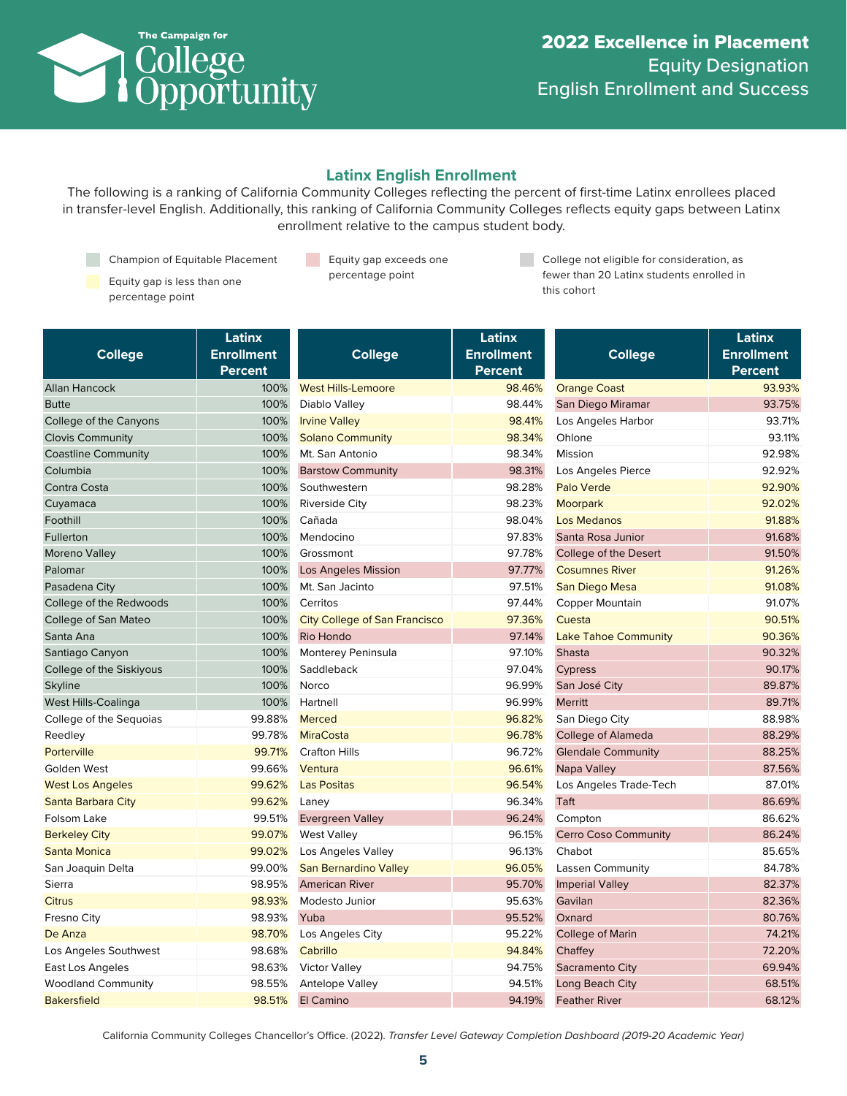

# **Latinx English Enrollment**

The following is a ranking of California Community Colleges reflecting the percent of first-time Latinx enrollees placed in transfer-level English. Additionally, this ranking of California Community Colleges reflects equity gaps between Latinx enrollment relative to the campus student body.

Champion of Equitable Placement

a s Equity gap exceeds one percentage point

Equity gap is less than one percentage point

College not eligible for consideration, as fewer than 20 Latinx students enrolled in this cohort

|                            | Latinx            |                                      | Latinx            |                             | Latinx            |
|----------------------------|-------------------|--------------------------------------|-------------------|-----------------------------|-------------------|
| <b>College</b>             | <b>Enrollment</b> | <b>College</b>                       | <b>Enrollment</b> | <b>College</b>              | <b>Enrollment</b> |
|                            | <b>Percent</b>    |                                      | Percent           |                             | <b>Percent</b>    |
| <b>Allan Hancock</b>       | 100%              | <b>West Hills-Lemoore</b>            | 98.46%            | <b>Orange Coast</b>         | 93.93%            |
| <b>Butte</b>               | 100%              | Diablo Valley                        | 98.44%            | San Diego Miramar           | 93.75%            |
| College of the Canyons     | 100%              | <b>Irvine Valley</b>                 | 98.41%            | Los Angeles Harbor          | 93.71%            |
| <b>Clovis Community</b>    | 100%              | <b>Solano Community</b>              | 98.34%            | Ohlone                      | 93.11%            |
| <b>Coastline Community</b> | 100%              | Mt. San Antonio                      | 98.34%            | Mission                     | 92.98%            |
| Columbia                   | 100%              | <b>Barstow Community</b>             | 98.31%            | Los Angeles Pierce          | 92.92%            |
| Contra Costa               | 100%              | Southwestern                         | 98.28%            | <b>Palo Verde</b>           | 92.90%            |
| Cuyamaca                   | 100%              | <b>Riverside City</b>                | 98.23%            | Moorpark                    | 92.02%            |
| Foothill                   | 100%              | Cañada                               | 98.04%            | <b>Los Medanos</b>          | 91.88%            |
| Fullerton                  | 100%              | Mendocino                            | 97.83%            | Santa Rosa Junior           | 91.68%            |
| Moreno Valley              | 100%              | Grossmont                            | 97.78%            | College of the Desert       | 91.50%            |
| Palomar                    | 100%              | <b>Los Angeles Mission</b>           | 97.77%            | <b>Cosumnes River</b>       | 91.26%            |
| Pasadena City              | 100%              | Mt. San Jacinto                      | 97.51%            | San Diego Mesa              | 91.08%            |
| College of the Redwoods    | 100%              | Cerritos                             | 97.44%            | Copper Mountain             | 91.07%            |
| College of San Mateo       | 100%              | <b>City College of San Francisco</b> | 97.36%            | Cuesta                      | 90.51%            |
| Santa Ana                  | 100%              | Rio Hondo                            | 97.14%            | <b>Lake Tahoe Community</b> | 90.36%            |
| Santiago Canyon            | 100%              | Monterey Peninsula                   | 97.10%            | <b>Shasta</b>               | 90.32%            |
| College of the Siskiyous   | 100%              | Saddleback                           | 97.04%            | Cypress                     | 90.17%            |
| Skyline                    | 100%              | Norco                                | 96.99%            | San José City               | 89.87%            |
| West Hills-Coalinga        | 100%              | Hartnell                             | 96.99%            | Merritt                     | 89.71%            |
| College of the Sequoias    | 99.88%            | <b>Merced</b>                        | 96.82%            | San Diego City              | 88.98%            |
| Reedley                    | 99.78%            | <b>MiraCosta</b>                     | 96.78%            | <b>College of Alameda</b>   | 88.29%            |
| Porterville                | 99.71%            | <b>Crafton Hills</b>                 | 96.72%            | <b>Glendale Community</b>   | 88.25%            |
| Golden West                | 99.66%            | Ventura                              | 96.61%            | Napa Valley                 | 87.56%            |
| <b>West Los Angeles</b>    | 99.62%            | <b>Las Positas</b>                   | 96.54%            | Los Angeles Trade-Tech      | 87.01%            |
| Santa Barbara City         | 99.62%            | Laney                                | 96.34%            | Taft                        | 86.69%            |
| Folsom Lake                | 99.51%            | <b>Evergreen Valley</b>              | 96.24%            | Compton                     | 86.62%            |
| <b>Berkeley City</b>       | 99.07%            | <b>West Valley</b>                   | 96.15%            | <b>Cerro Coso Community</b> | 86.24%            |
| Santa Monica               | 99.02%            | Los Angeles Valley                   | 96.13%            | Chabot                      | 85.65%            |
| San Joaquin Delta          | 99.00%            | <b>San Bernardino Valley</b>         | 96.05%            | <b>Lassen Community</b>     | 84.78%            |
| Sierra                     | 98.95%            | <b>American River</b>                | 95.70%            | <b>Imperial Valley</b>      | 82.37%            |
| <b>Citrus</b>              | 98.93%            | Modesto Junior                       | 95.63%            | Gavilan                     | 82.36%            |
| Fresno City                | 98.93%            | Yuba                                 | 95.52%            | Oxnard                      | 80.76%            |
| De Anza                    | 98.70%            | Los Angeles City                     | 95.22%            | <b>College of Marin</b>     | 74.21%            |
| Los Angeles Southwest      | 98.68%            | Cabrillo                             | 94.84%            | Chaffey                     | 72.20%            |
| East Los Angeles           | 98.63%            | <b>Victor Valley</b>                 | 94.75%            | <b>Sacramento City</b>      | 69.94%            |
| <b>Woodland Community</b>  | 98.55%            | Antelope Valley                      | 94.51%            | Long Beach City             | 68.51%            |
| <b>Bakersfield</b>         | 98.51%            | El Camino                            | 94.19%            | <b>Feather River</b>        | 68.12%            |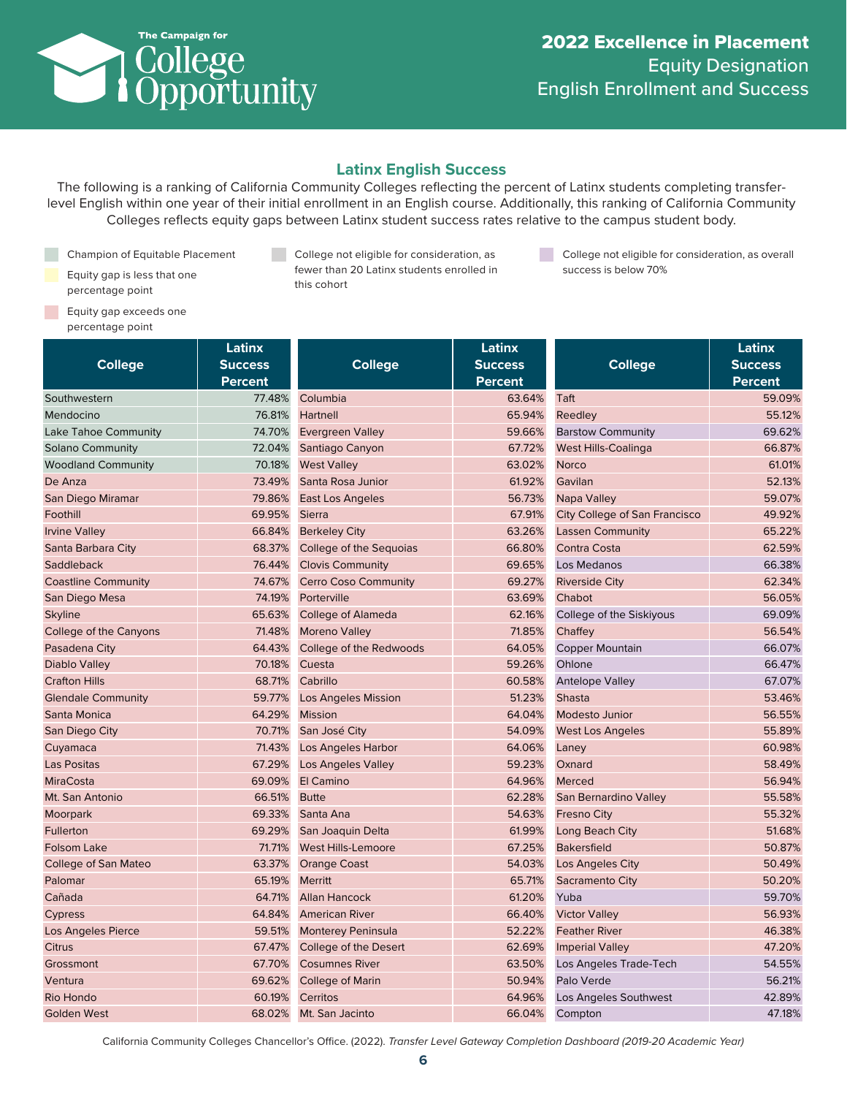

### **Latinx English Success**

The following is a ranking of California Community Colleges reflecting the percent of Latinx students completing transferlevel English within one year of their initial enrollment in an English course. Additionally, this ranking of California Community Colleges reflects equity gaps between Latinx student success rates relative to the campus student body.

Champion of Equitable Placement Equity gap is less that one percentage point

**College not eligible for consideration, as** fewer than 20 Latinx students enrolled in this cohort

College not eligible for consideration, as overall success is below 70%

**Equity gap exceeds one** percentage point

|                            | Latinx         |                             | Latinx         |                                      | Latinx         |
|----------------------------|----------------|-----------------------------|----------------|--------------------------------------|----------------|
| <b>College</b>             | <b>Success</b> | <b>College</b>              | <b>Success</b> | <b>College</b>                       | <b>Success</b> |
|                            | <b>Percent</b> |                             | <b>Percent</b> |                                      | <b>Percent</b> |
| Southwestern               | 77.48%         | Columbia                    | 63.64%         | Taft                                 | 59.09%         |
| Mendocino                  | 76.81%         | Hartnell                    | 65.94%         | Reedley                              | 55.12%         |
| Lake Tahoe Community       | 74.70%         | <b>Evergreen Valley</b>     | 59.66%         | <b>Barstow Community</b>             | 69.62%         |
| <b>Solano Community</b>    | 72.04%         | Santiago Canyon             | 67.72%         | <b>West Hills-Coalinga</b>           | 66.87%         |
| <b>Woodland Community</b>  | 70.18%         | <b>West Valley</b>          | 63.02%         | <b>Norco</b>                         | 61.01%         |
| De Anza                    | 73.49%         | Santa Rosa Junior           | 61.92%         | Gavilan                              | 52.13%         |
| San Diego Miramar          | 79.86%         | <b>East Los Angeles</b>     | 56.73%         | Napa Valley                          | 59.07%         |
| Foothill                   | 69.95%         | <b>Sierra</b>               | 67.91%         | <b>City College of San Francisco</b> | 49.92%         |
| <b>Irvine Valley</b>       | 66.84%         | <b>Berkeley City</b>        | 63.26%         | <b>Lassen Community</b>              | 65.22%         |
| Santa Barbara City         | 68.37%         | College of the Sequoias     | 66.80%         | Contra Costa                         | 62.59%         |
| Saddleback                 | 76.44%         | <b>Clovis Community</b>     | 69.65%         | Los Medanos                          | 66.38%         |
| <b>Coastline Community</b> | 74.67%         | <b>Cerro Coso Community</b> | 69.27%         | <b>Riverside City</b>                | 62.34%         |
| San Diego Mesa             | 74.19%         | Porterville                 | 63.69%         | Chabot                               | 56.05%         |
| <b>Skyline</b>             | 65.63%         | <b>College of Alameda</b>   | 62.16%         | College of the Siskiyous             | 69.09%         |
| College of the Canyons     | 71.48%         | <b>Moreno Valley</b>        | 71.85%         | Chaffey                              | 56.54%         |
| Pasadena City              | 64.43%         | College of the Redwoods     | 64.05%         | <b>Copper Mountain</b>               | 66.07%         |
| Diablo Valley              | 70.18%         | Cuesta                      | 59.26%         | Ohlone                               | 66.47%         |
| <b>Crafton Hills</b>       | 68.71%         | Cabrillo                    | 60.58%         | <b>Antelope Valley</b>               | 67.07%         |
| <b>Glendale Community</b>  | 59.77%         | <b>Los Angeles Mission</b>  | 51.23%         | <b>Shasta</b>                        | 53.46%         |
| Santa Monica               | 64.29%         | <b>Mission</b>              | 64.04%         | <b>Modesto Junior</b>                | 56.55%         |
| San Diego City             | 70.71%         | San José City               | 54.09%         | <b>West Los Angeles</b>              | 55.89%         |
| Cuyamaca                   | 71.43%         | Los Angeles Harbor          | 64.06%         | Laney                                | 60.98%         |
| <b>Las Positas</b>         | 67.29%         | <b>Los Angeles Valley</b>   | 59.23%         | Oxnard                               | 58.49%         |
| <b>MiraCosta</b>           | 69.09%         | El Camino                   | 64.96%         | Merced                               | 56.94%         |
| Mt. San Antonio            | 66.51%         | <b>Butte</b>                | 62.28%         | San Bernardino Valley                | 55.58%         |
| Moorpark                   | 69.33%         | Santa Ana                   | 54.63%         | <b>Fresno City</b>                   | 55.32%         |
| Fullerton                  | 69.29%         | San Joaquin Delta           | 61.99%         | Long Beach City                      | 51.68%         |
| <b>Folsom Lake</b>         | 71.71%         | <b>West Hills-Lemoore</b>   | 67.25%         | <b>Bakersfield</b>                   | 50.87%         |
| College of San Mateo       | 63.37%         | <b>Orange Coast</b>         | 54.03%         | Los Angeles City                     | 50.49%         |
| Palomar                    | 65.19%         | <b>Merritt</b>              | 65.71%         | Sacramento City                      | 50.20%         |
| Cañada                     | 64.71%         | <b>Allan Hancock</b>        | 61.20%         | Yuba                                 | 59.70%         |
| Cypress                    | 64.84%         | <b>American River</b>       | 66.40%         | <b>Victor Valley</b>                 | 56.93%         |
| Los Angeles Pierce         | 59.51%         | <b>Monterey Peninsula</b>   | 52.22%         | <b>Feather River</b>                 | 46.38%         |
| Citrus                     | 67.47%         | College of the Desert       | 62.69%         | <b>Imperial Valley</b>               | 47.20%         |
| Grossmont                  | 67.70%         | <b>Cosumnes River</b>       | 63.50%         | Los Angeles Trade-Tech               | 54.55%         |
| Ventura                    | 69.62%         | <b>College of Marin</b>     | 50.94%         | Palo Verde                           | 56.21%         |
| Rio Hondo                  | 60.19%         | Cerritos                    | 64.96%         | Los Angeles Southwest                | 42.89%         |
| <b>Golden West</b>         | 68.02%         | Mt. San Jacinto             | 66.04%         | Compton                              | 47.18%         |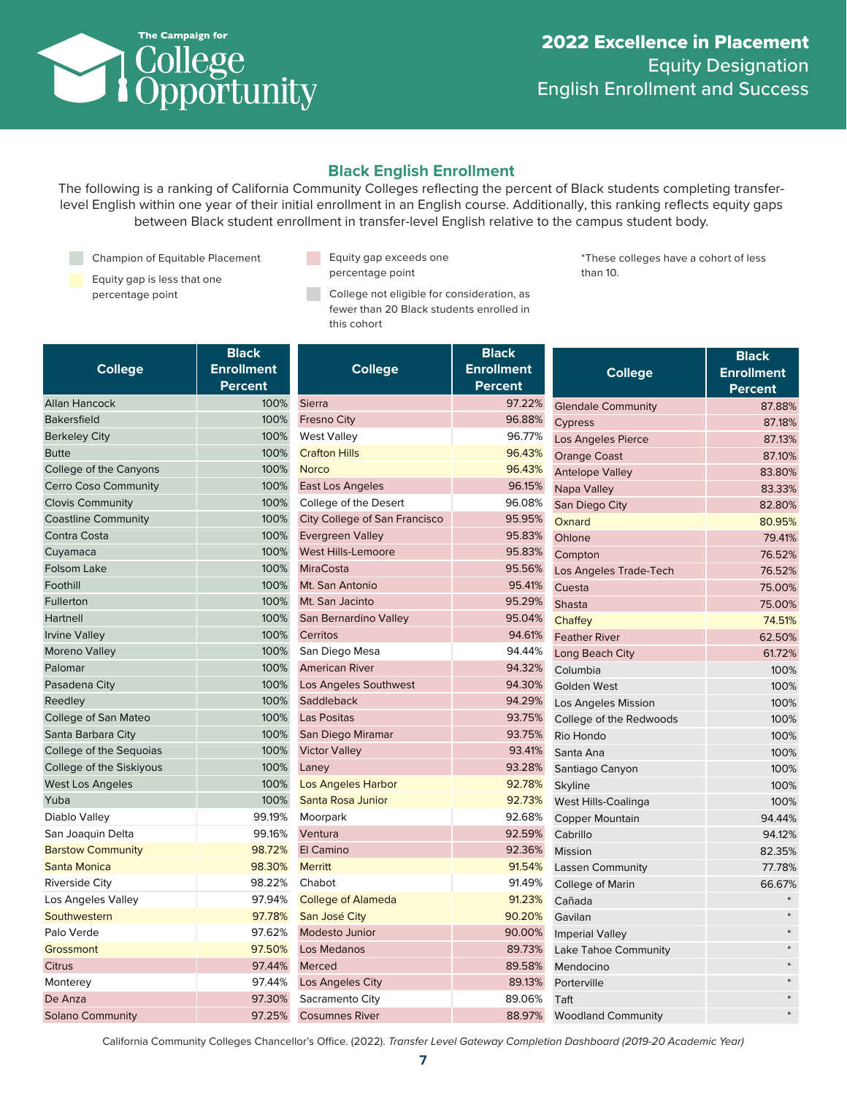

## **Black English Enrollment**

The following is a ranking of California Community Colleges reflecting the percent of Black students completing transferlevel English within one year of their initial enrollment in an English course. Additionally, this ranking reflects equity gaps between Black student enrollment in transfer-level English relative to the campus student body.

Champion of Equitable Placement

Equity gap is less that one

- **Equity gap exceeds one** percentage point
- percentage point **percentage point** college not eligible for consideration, as fewer than 20 Black students enrolled in this cohort

\*These colleges have a cohort of less than 10.

| <b>College</b>              | <b>Black</b><br><b>Enrollment</b><br><b>Percent</b> | <b>College</b>                       | <b>Black</b><br><b>Enrollment</b><br><b>Percent</b> | <b>College</b>            | <b>Black</b><br><b>Enrollment</b> |
|-----------------------------|-----------------------------------------------------|--------------------------------------|-----------------------------------------------------|---------------------------|-----------------------------------|
| Allan Hancock               | 100%                                                | <b>Sierra</b>                        | 97.22%                                              | <b>Glendale Community</b> | <b>Percent</b><br>87.88%          |
| <b>Bakersfield</b>          | 100%                                                | <b>Fresno City</b>                   | 96.88%                                              | Cypress                   | 87.18%                            |
| <b>Berkeley City</b>        | 100%                                                | <b>West Valley</b>                   | 96.77%                                              | Los Angeles Pierce        | 87.13%                            |
| <b>Butte</b>                | 100%                                                | <b>Crafton Hills</b>                 | 96.43%                                              | <b>Orange Coast</b>       | 87.10%                            |
| College of the Canyons      | 100%                                                | <b>Norco</b>                         | 96.43%                                              | <b>Antelope Valley</b>    | 83.80%                            |
| <b>Cerro Coso Community</b> | 100%                                                | <b>East Los Angeles</b>              | 96.15%                                              | Napa Valley               | 83.33%                            |
| <b>Clovis Community</b>     | 100%                                                | College of the Desert                | 96.08%                                              | San Diego City            | 82.80%                            |
| <b>Coastline Community</b>  | 100%                                                | <b>City College of San Francisco</b> | 95.95%                                              | Oxnard                    | 80.95%                            |
| Contra Costa                | 100%                                                | <b>Evergreen Valley</b>              | 95.83%                                              | Ohlone                    | 79.41%                            |
| Cuyamaca                    | 100%                                                | <b>West Hills-Lemoore</b>            | 95.83%                                              | Compton                   | 76.52%                            |
| <b>Folsom Lake</b>          | 100%                                                | <b>MiraCosta</b>                     | 95.56%                                              | Los Angeles Trade-Tech    | 76.52%                            |
| Foothill                    | 100%                                                | Mt. San Antonio                      | 95.41%                                              | Cuesta                    | 75.00%                            |
| Fullerton                   | 100%                                                | Mt. San Jacinto                      | 95.29%                                              | Shasta                    | 75.00%                            |
| Hartnell                    | 100%                                                | San Bernardino Valley                | 95.04%                                              | Chaffey                   | 74.51%                            |
| <b>Irvine Valley</b>        | 100%                                                | Cerritos                             | 94.61%                                              | <b>Feather River</b>      | 62.50%                            |
| Moreno Valley               | 100%                                                | San Diego Mesa                       | 94.44%                                              | Long Beach City           | 61.72%                            |
| Palomar                     | 100%                                                | <b>American River</b>                | 94.32%                                              | Columbia                  | 100%                              |
| Pasadena City               | 100%                                                | Los Angeles Southwest                | 94.30%                                              | <b>Golden West</b>        | 100%                              |
| Reedley                     | 100%                                                | Saddleback                           | 94.29%                                              | Los Angeles Mission       | 100%                              |
| College of San Mateo        | 100%                                                | <b>Las Positas</b>                   | 93.75%                                              | College of the Redwoods   | 100%                              |
| Santa Barbara City          | 100%                                                | San Diego Miramar                    | 93.75%                                              | Rio Hondo                 | 100%                              |
| College of the Sequoias     | 100%                                                | <b>Victor Valley</b>                 | 93.41%                                              | Santa Ana                 | 100%                              |
| College of the Siskiyous    | 100%                                                | Laney                                | 93.28%                                              | Santiago Canyon           | 100%                              |
| West Los Angeles            | 100%                                                | <b>Los Angeles Harbor</b>            | 92.78%                                              | Skyline                   | 100%                              |
| Yuba                        | 100%                                                | Santa Rosa Junior                    | 92.73%                                              | West Hills-Coalinga       | 100%                              |
| Diablo Valley               | 99.19%                                              | Moorpark                             | 92.68%                                              | <b>Copper Mountain</b>    | 94.44%                            |
| San Joaquin Delta           | 99.16%                                              | Ventura                              | 92.59%                                              | Cabrillo                  | 94.12%                            |
| <b>Barstow Community</b>    | 98.72%                                              | El Camino                            | 92.36%                                              | Mission                   | 82.35%                            |
| Santa Monica                | 98.30%                                              | <b>Merritt</b>                       | 91.54%                                              | <b>Lassen Community</b>   | 77.78%                            |
| <b>Riverside City</b>       | 98.22%                                              | Chabot                               | 91.49%                                              | College of Marin          | 66.67%                            |
| Los Angeles Valley          | 97.94%                                              | <b>College of Alameda</b>            | 91.23%                                              | Cañada                    |                                   |
| Southwestern                | 97.78%                                              | San José City                        | 90.20%                                              | Gavilan                   |                                   |
| Palo Verde                  | 97.62%                                              | <b>Modesto Junior</b>                | 90.00%                                              | <b>Imperial Valley</b>    |                                   |
| Grossmont                   | 97.50%                                              | Los Medanos                          | 89.73%                                              | Lake Tahoe Community      |                                   |
| <b>Citrus</b>               | 97.44%                                              | Merced                               | 89.58%                                              | Mendocino                 |                                   |
| Monterey                    | 97.44%                                              | Los Angeles City                     | 89.13%                                              | Porterville               |                                   |
| De Anza                     | 97.30%                                              | Sacramento City                      | 89.06%                                              | Taft                      |                                   |
| <b>Solano Community</b>     | 97.25%                                              | <b>Cosumnes River</b>                | 88.97%                                              | <b>Woodland Community</b> |                                   |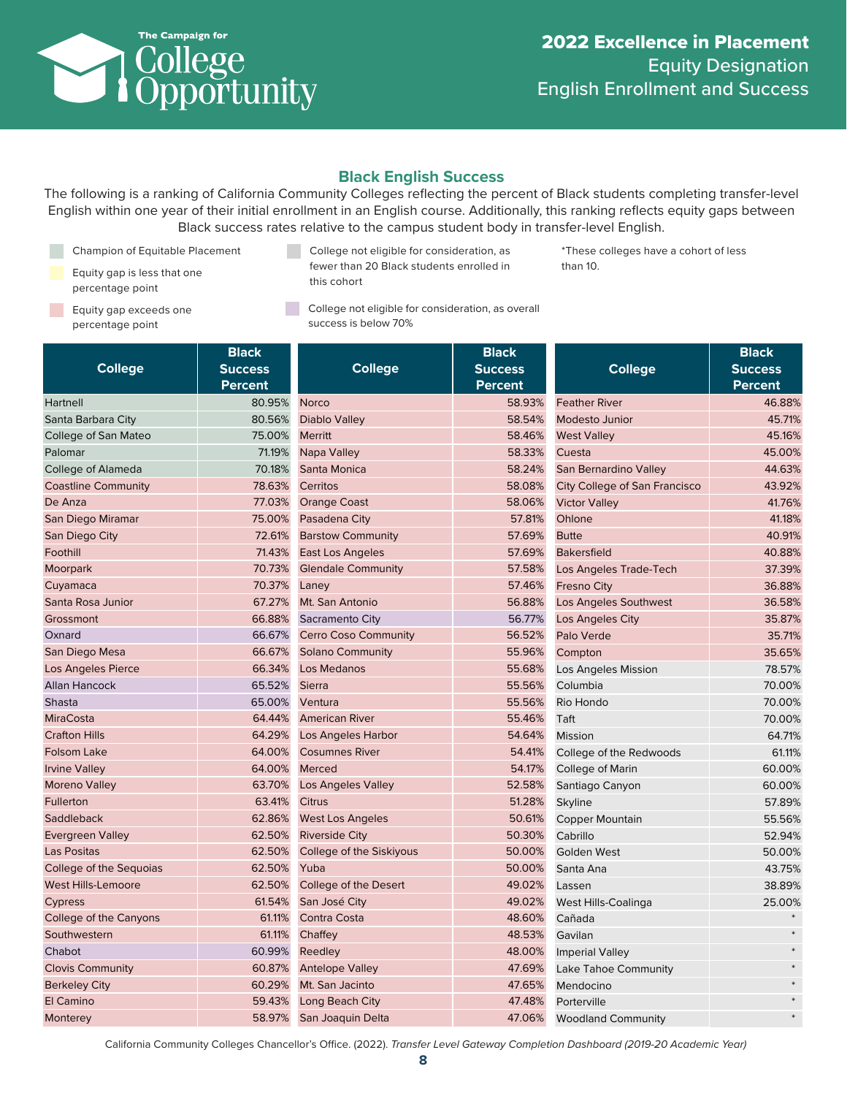

\*These colleges have a cohort of less

than 10.

## **Black English Success**

The following is a ranking of California Community Colleges reflecting the percent of Black students completing transfer-level English within one year of their initial enrollment in an English course. Additionally, this ranking reflects equity gaps between Black success rates relative to the campus student body in transfer-level English.

Champion of Equitable Placement

- Equity gap is less that one percentage point
- Equity gap exceeds one percentage point
- College not eligible for consideration, as fewer than 20 Black students enrolled in this cohort
- College not eligible for consideration, as overall success is below 70%

**College Black Success Percent** Hartnell 80.95% Santa Barbara City 80.56% College of San Mateo 75.00% Palomar 71.19% College of Alameda 70.18% Coastline Community **78.63%** De Anza 1999 - 1999 - 1999 - 1999 - 1999 - 1999 - 1999 - 1999 - 1999 - 1999 - 1999 - 1999 - 1999 - 1999 - 199 San Diego Miramar 75.00% San Diego City **72.61%** Foothill 71.43% Moorpark 70.73% Cuyamaca 70.37% Santa Rosa Junior **67.27%** Grossmont 66.88% Oxnard 66.67% San Diego Mesa 66.67% Los Angeles Pierce **66.34%** Allan Hancock 65.52% Shasta 65.00% MiraCosta 64.44% Crafton Hills 64.29% Folsom Lake 64.00% Irvine Valley **64.00%** Moreno Valley **63.70%** Fullerton 63.41% Saddleback 62.86% Evergreen Valley **62.50%** Las Positas **62.50%** College of the Sequoias 62.50% West Hills-Lemoore 62.50% Cypress 61.54% College of the Canyons 61.11% Southwestern 61.11% Chabot 60.99% Clovis Community **60.87%** Berkeley City **60.29%** El Camino 59.43% Monterey 58.97% **College Black Success Percent** Norco 58.93% Diablo Valley **1988** 58.54% Merritt 58.46% Napa Valley 58.33% Santa Monica 58.24% Cerritos 58.08% Orange Coast **58.06%** Pasadena City **62.61%** 57.81% Barstow Community **67.69%** East Los Angeles 67.69% Glendale Community **67.58%** Laney **1999 Laney 1999 1999 1999 1999 1999 1999 1999 1999 1999 1999** Mt. San Antonio 66.88% Sacramento City 56.77% Cerro Coso Community **56.52%** Solano Community 55.96% Los Medanos **1986 1997 1998 55.68%** Sierra 55.56% Ventura 55.56% American River **1988** S5.46% Los Angeles Harbor 54.64% Cosumnes River **1988** Cosumnes River Merced 54.17% Los Angeles Valley **1988 52.58%** Citrus 51.28% West Los Angeles 50.61% Riverside City **60.30%** College of the Siskiyous 60.00% Yuba 50.00% College of the Desert 49.02% San José City **49.02%** Contra Costa 48.60% Chaffey **48.53%** Reedley 28.00% Antelope Valley **47.69%** Mt. San Jacinto **47.65%** Long Beach City **1998** 47.48% San Joaquin Delta 47.06% **College Black Success Percent** Feather River **1999** Contract 1999 A 46.88% Modesto Junior **45.71%** West Valley **1996** 2008 12:00 12:00 12:00 12:00 12:00 12:00 12:00 12:00 12:00 12:00 12:00 12:00 12:00 12:00 12:00 12:00 12:00 12:00 12:00 12:00 12:00 12:00 12:00 12:00 12:00 12:00 12:00 12:00 12:00 12:00 12:00 12:00 12:00 Cuesta 45.00% San Bernardino Valley 1944.63% City College of San Francisco 43.92% Victor Valley **41.76%** Ohlone 41.18% Butte 40.91% Bakersfield **40.88%** Los Angeles Trade-Tech 37.39% Fresno City **36.88%** Los Angeles Southwest 36.58% Los Angeles City **35.87%** Palo Verde 35.71% Compton 35.65% Los Angeles Mission 78.57% Columbia 70.00% Rio Hondo 70.00% Taft 70.00% Mission 64.71% College of the Redwoods 61.11% College of Marin 60.00% Santiago Canyon 60.00% Skyline 57.89% Copper Mountain 55.56% Cabrillo 52.94% Golden West 50.00% Santa Ana **43.75%** Lassen 38.89% West Hills-Coalinga 25.00% Cañada \* Gavilan \* Imperial Valley \* Lake Tahoe Community **Example 2018** Mendocino \* Porterville \* Woodland Community \*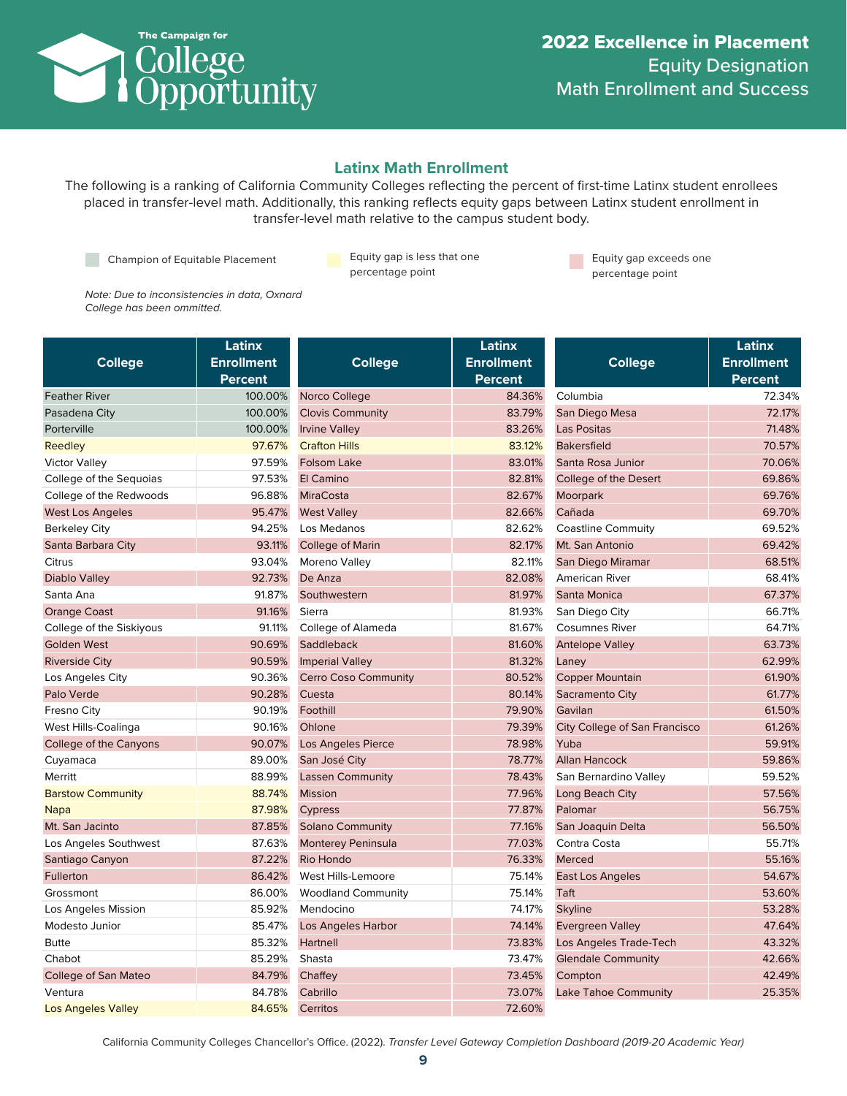

#### **Latinx Math Enrollment**

The following is a ranking of California Community Colleges reflecting the percent of first-time Latinx student enrollees placed in transfer-level math. Additionally, this ranking reflects equity gaps between Latinx student enrollment in transfer-level math relative to the campus student body.

Champion of Equitable Placement Equity gap is less that one

percentage point

**Equity gap exceeds one** percentage point

*Note: Due to inconsistencies in data, Oxnard College has been ommitted.*

|                             | Latinx            |                             | Latinx            |                                      | Latinx            |
|-----------------------------|-------------------|-----------------------------|-------------------|--------------------------------------|-------------------|
| <b>College</b>              | <b>Enrollment</b> | <b>College</b>              | <b>Enrollment</b> | <b>College</b>                       | <b>Enrollment</b> |
|                             | <b>Percent</b>    |                             | Percent           |                                      | Percent           |
| <b>Feather River</b>        | 100.00%           | Norco College               | 84.36%            | Columbia                             | 72.34%            |
| Pasadena City               | 100.00%           | <b>Clovis Community</b>     | 83.79%            | San Diego Mesa                       | 72.17%            |
| Porterville                 | 100.00%           | <b>Irvine Valley</b>        | 83.26%            | <b>Las Positas</b>                   | 71.48%            |
| Reedley                     | 97.67%            | <b>Crafton Hills</b>        | 83.12%            | <b>Bakersfield</b>                   | 70.57%            |
| <b>Victor Valley</b>        | 97.59%            | Folsom Lake                 | 83.01%            | Santa Rosa Junior                    | 70.06%            |
| College of the Sequoias     | 97.53%            | El Camino                   | 82.81%            | College of the Desert                | 69.86%            |
| College of the Redwoods     | 96.88%            | <b>MiraCosta</b>            | 82.67%            | Moorpark                             | 69.76%            |
| <b>West Los Angeles</b>     | 95.47%            | <b>West Valley</b>          | 82.66%            | Cañada                               | 69.70%            |
| <b>Berkeley City</b>        | 94.25%            | Los Medanos                 | 82.62%            | <b>Coastline Commuity</b>            | 69.52%            |
| Santa Barbara City          | 93.11%            | <b>College of Marin</b>     | 82.17%            | Mt. San Antonio                      | 69.42%            |
| Citrus                      | 93.04%            | Moreno Valley               | 82.11%            | San Diego Miramar                    | 68.51%            |
| Diablo Valley               | 92.73%            | De Anza                     | 82.08%            | <b>American River</b>                | 68.41%            |
| Santa Ana                   | 91.87%            | Southwestern                | 81.97%            | Santa Monica                         | 67.37%            |
| <b>Orange Coast</b>         | 91.16%            | Sierra                      | 81.93%            | San Diego City                       | 66.71%            |
| College of the Siskiyous    | 91.11%            | College of Alameda          | 81.67%            | <b>Cosumnes River</b>                | 64.71%            |
| <b>Golden West</b>          | 90.69%            | Saddleback                  | 81.60%            | <b>Antelope Valley</b>               | 63.73%            |
| <b>Riverside City</b>       | 90.59%            | <b>Imperial Valley</b>      | 81.32%            | Laney                                | 62.99%            |
| Los Angeles City            | 90.36%            | <b>Cerro Coso Community</b> | 80.52%            | <b>Copper Mountain</b>               | 61.90%            |
| Palo Verde                  | 90.28%            | Cuesta                      | 80.14%            | Sacramento City                      | 61.77%            |
| Fresno City                 | 90.19%            | Foothill                    | 79.90%            | Gavilan                              | 61.50%            |
| West Hills-Coalinga         | 90.16%            | Ohlone                      | 79.39%            | <b>City College of San Francisco</b> | 61.26%            |
| College of the Canyons      | 90.07%            | <b>Los Angeles Pierce</b>   | 78.98%            | Yuba                                 | 59.91%            |
| Cuyamaca                    | 89.00%            | San José City               | 78.77%            | <b>Allan Hancock</b>                 | 59.86%            |
| Merritt                     | 88.99%            | <b>Lassen Community</b>     | 78.43%            | San Bernardino Valley                | 59.52%            |
| <b>Barstow Community</b>    | 88.74%            | <b>Mission</b>              | 77.96%            | Long Beach City                      | 57.56%            |
| <b>Napa</b>                 | 87.98%            | Cypress                     | 77.87%            | Palomar                              | 56.75%            |
| Mt. San Jacinto             | 87.85%            | <b>Solano Community</b>     | 77.16%            | San Joaquin Delta                    | 56.50%            |
| Los Angeles Southwest       | 87.63%            | <b>Monterey Peninsula</b>   | 77.03%            | Contra Costa                         | 55.71%            |
| Santiago Canyon             | 87.22%            | <b>Rio Hondo</b>            | 76.33%            | Merced                               | 55.16%            |
| Fullerton                   | 86.42%            | West Hills-Lemoore          | 75.14%            | <b>East Los Angeles</b>              | 54.67%            |
| Grossmont                   | 86.00%            | <b>Woodland Community</b>   | 75.14%            | Taft                                 | 53.60%            |
| Los Angeles Mission         | 85.92%            | Mendocino                   | 74.17%            | <b>Skyline</b>                       | 53.28%            |
| Modesto Junior              | 85.47%            | Los Angeles Harbor          | 74.14%            | <b>Evergreen Valley</b>              | 47.64%            |
| <b>Butte</b>                | 85.32%            | Hartnell                    | 73.83%            | Los Angeles Trade-Tech               | 43.32%            |
| Chabot                      | 85.29%            | Shasta                      | 73.47%            | <b>Glendale Community</b>            | 42.66%            |
| <b>College of San Mateo</b> | 84.79%            | Chaffey                     | 73.45%            | Compton                              | 42.49%            |
| Ventura                     | 84.78%            | Cabrillo                    | 73.07%            | <b>Lake Tahoe Community</b>          | 25.35%            |
| Los Angeles Valley          | 84.65%            | Cerritos                    | 72.60%            |                                      |                   |
|                             |                   |                             |                   |                                      |                   |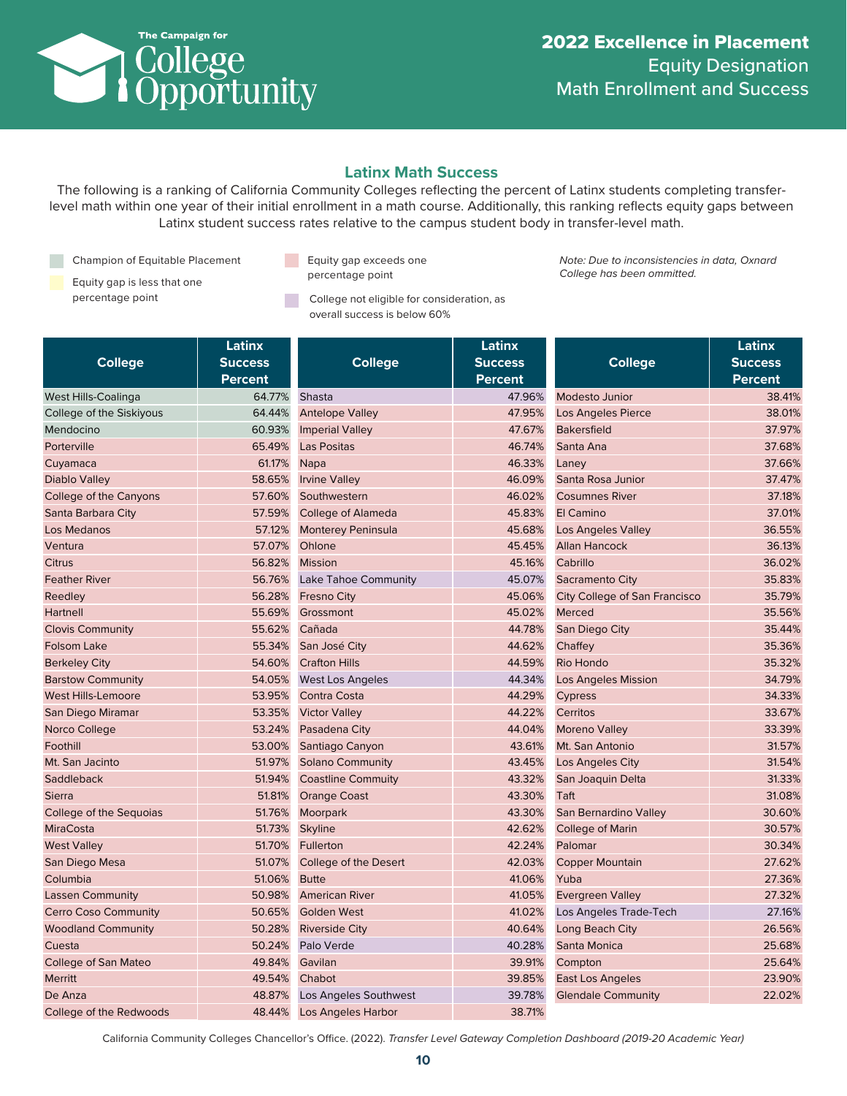

## **Latinx Math Success**

The following is a ranking of California Community Colleges reflecting the percent of Latinx students completing transferlevel math within one year of their initial enrollment in a math course. Additionally, this ranking reflects equity gaps between Latinx student success rates relative to the campus student body in transfer-level math.

Champion of Equitable Placement

- Equity gap is less that one percentage point **College not eligible for consideration**, as
- **Equity gap exceeds one** percentage point

overall success is below 60%

*Note: Due to inconsistencies in data, Oxnard College has been ommitted.*

| <b>College</b>              | Latinx<br><b>Success</b><br><b>Percent</b> | <b>College</b>              | Latinx<br><b>Success</b><br><b>Percent</b> | <b>College</b>                       | Latinx<br><b>Success</b><br><b>Percent</b> |
|-----------------------------|--------------------------------------------|-----------------------------|--------------------------------------------|--------------------------------------|--------------------------------------------|
| West Hills-Coalinga         | 64.77%                                     | Shasta                      | 47.96%                                     | <b>Modesto Junior</b>                | 38.41%                                     |
| College of the Siskiyous    | 64.44%                                     | <b>Antelope Valley</b>      | 47.95%                                     | <b>Los Angeles Pierce</b>            | 38.01%                                     |
| Mendocino                   | 60.93%                                     | <b>Imperial Valley</b>      | 47.67%                                     | <b>Bakersfield</b>                   | 37.97%                                     |
| Porterville                 | 65.49%                                     | <b>Las Positas</b>          | 46.74%                                     | Santa Ana                            | 37.68%                                     |
| Cuyamaca                    | 61.17%                                     | <b>Napa</b>                 | 46.33%                                     | Laney                                | 37.66%                                     |
| Diablo Valley               | 58.65%                                     | <b>Irvine Valley</b>        | 46.09%                                     | Santa Rosa Junior                    | 37.47%                                     |
| College of the Canyons      | 57.60%                                     | Southwestern                | 46.02%                                     | <b>Cosumnes River</b>                | 37.18%                                     |
| Santa Barbara City          | 57.59%                                     | <b>College of Alameda</b>   | 45.83%                                     | El Camino                            | 37.01%                                     |
| Los Medanos                 | 57.12%                                     | <b>Monterey Peninsula</b>   | 45.68%                                     | <b>Los Angeles Valley</b>            | 36.55%                                     |
| Ventura                     | 57.07%                                     | Ohlone                      | 45.45%                                     | <b>Allan Hancock</b>                 | 36.13%                                     |
| <b>Citrus</b>               | 56.82%                                     | <b>Mission</b>              | 45.16%                                     | Cabrillo                             | 36.02%                                     |
| <b>Feather River</b>        | 56.76%                                     | <b>Lake Tahoe Community</b> | 45.07%                                     | Sacramento City                      | 35.83%                                     |
| Reedley                     | 56.28%                                     | <b>Fresno City</b>          | 45.06%                                     | <b>City College of San Francisco</b> | 35.79%                                     |
| Hartnell                    | 55.69%                                     | Grossmont                   | 45.02%                                     | Merced                               | 35.56%                                     |
| <b>Clovis Community</b>     | 55.62%                                     | Cañada                      | 44.78%                                     | San Diego City                       | 35.44%                                     |
| <b>Folsom Lake</b>          | 55.34%                                     | San José City               | 44.62%                                     | Chaffey                              | 35.36%                                     |
| <b>Berkeley City</b>        | 54.60%                                     | <b>Crafton Hills</b>        | 44.59%                                     | Rio Hondo                            | 35.32%                                     |
| <b>Barstow Community</b>    | 54.05%                                     | <b>West Los Angeles</b>     | 44.34%                                     | <b>Los Angeles Mission</b>           | 34.79%                                     |
| <b>West Hills-Lemoore</b>   | 53.95%                                     | Contra Costa                | 44.29%                                     | Cypress                              | 34.33%                                     |
| San Diego Miramar           | 53.35%                                     | <b>Victor Valley</b>        | 44.22%                                     | Cerritos                             | 33.67%                                     |
| Norco College               | 53.24%                                     | Pasadena City               | 44.04%                                     | <b>Moreno Valley</b>                 | 33.39%                                     |
| Foothill                    | 53.00%                                     | Santiago Canyon             | 43.61%                                     | Mt. San Antonio                      | 31.57%                                     |
| Mt. San Jacinto             | 51.97%                                     | <b>Solano Community</b>     | 43.45%                                     | Los Angeles City                     | 31.54%                                     |
| Saddleback                  | 51.94%                                     | <b>Coastline Commuity</b>   | 43.32%                                     | San Joaquin Delta                    | 31.33%                                     |
| <b>Sierra</b>               | 51.81%                                     | <b>Orange Coast</b>         | 43.30%                                     | Taft                                 | 31.08%                                     |
| College of the Sequoias     | 51.76%                                     | Moorpark                    | 43.30%                                     | San Bernardino Valley                | 30.60%                                     |
| <b>MiraCosta</b>            | 51.73%                                     | <b>Skyline</b>              | 42.62%                                     | College of Marin                     | 30.57%                                     |
| <b>West Valley</b>          | 51.70%                                     | Fullerton                   | 42.24%                                     | Palomar                              | 30.34%                                     |
| San Diego Mesa              | 51.07%                                     | College of the Desert       | 42.03%                                     | <b>Copper Mountain</b>               | 27.62%                                     |
| Columbia                    | 51.06%                                     | <b>Butte</b>                | 41.06%                                     | Yuba                                 | 27.36%                                     |
| <b>Lassen Community</b>     | 50.98%                                     | <b>American River</b>       | 41.05%                                     | <b>Evergreen Valley</b>              | 27.32%                                     |
| <b>Cerro Coso Community</b> | 50.65%                                     | <b>Golden West</b>          | 41.02%                                     | Los Angeles Trade-Tech               | 27.16%                                     |
| <b>Woodland Community</b>   | 50.28%                                     | <b>Riverside City</b>       | 40.64%                                     | Long Beach City                      | 26.56%                                     |
| Cuesta                      | 50.24%                                     | Palo Verde                  | 40.28%                                     | Santa Monica                         | 25.68%                                     |
| <b>College of San Mateo</b> | 49.84%                                     | Gavilan                     | 39.91%                                     | Compton                              | 25.64%                                     |
| <b>Merritt</b>              | 49.54%                                     | Chabot                      | 39.85%                                     | East Los Angeles                     | 23.90%                                     |
| De Anza                     | 48.87%                                     | Los Angeles Southwest       | 39.78%                                     | <b>Glendale Community</b>            | 22.02%                                     |
| College of the Redwoods     | 48.44%                                     | <b>Los Angeles Harbor</b>   | 38.71%                                     |                                      |                                            |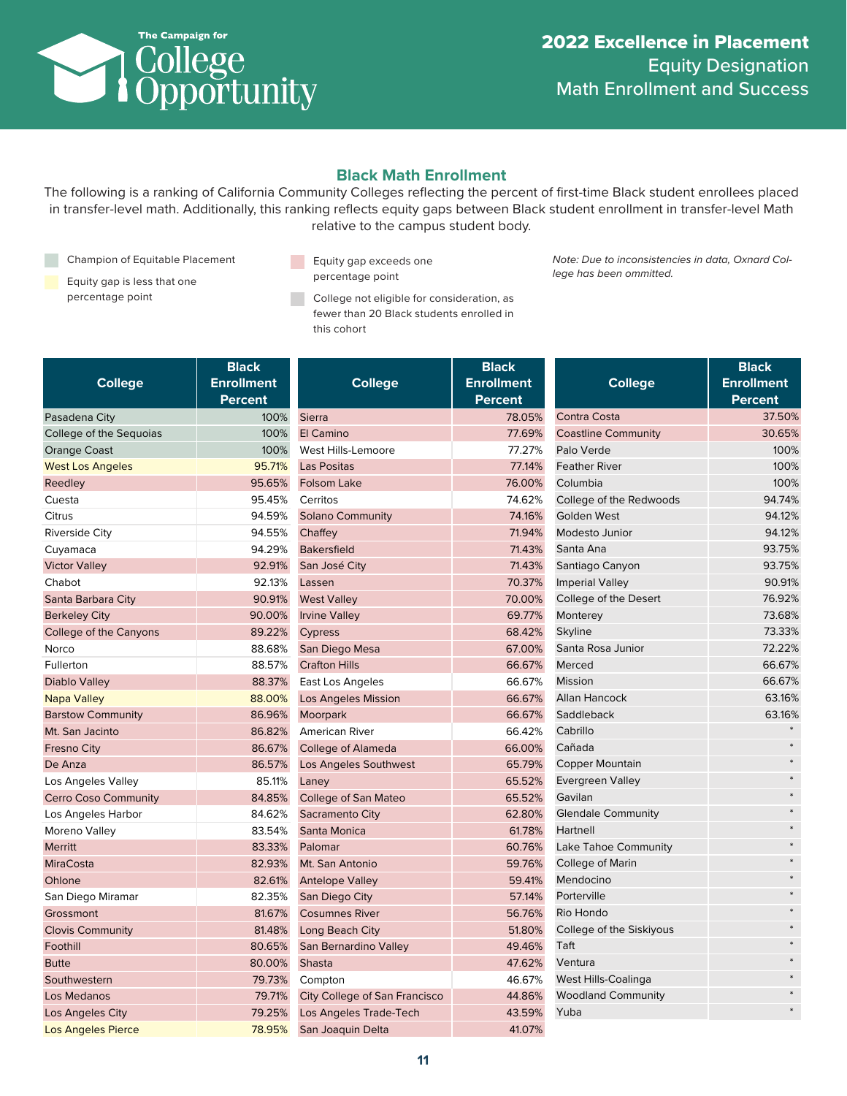

# **Black Math Enrollment**

The following is a ranking of California Community Colleges reflecting the percent of first-time Black student enrollees placed in transfer-level math. Additionally, this ranking reflects equity gaps between Black student enrollment in transfer-level Math relative to the campus student body.

Champion of Equitable Placement

- Equity gap is less that one
- Equity gap exceeds one percentage point

percentage point **College not eligible for consideration**, as fewer than 20 Black students enrolled in this cohort

*Note: Due to inconsistencies in data, Oxnard College has been ommitted.*

| <b>College</b>              | <b>Black</b><br><b>Enrollment</b><br>Percent |                     |
|-----------------------------|----------------------------------------------|---------------------|
| Pasadena City               | 100%                                         | <b>Sierra</b>       |
| College of the Sequoias     | 100%                                         | El Camino           |
| <b>Orange Coast</b>         | 100%                                         | <b>West Hills</b>   |
| <b>West Los Angeles</b>     | 95.71%                                       | Las Posita          |
| Reedley                     | 95.65%                                       | Folsom La           |
| Cuesta                      | 95.45%                                       | Cerritos            |
| Citrus                      | 94.59%                                       | Solano <sub>C</sub> |
| <b>Riverside City</b>       | 94.55%                                       | Chaffey             |
| Cuyamaca                    | 94.29%                                       | <b>Bakersfie</b>    |
| <b>Victor Valley</b>        | 92.91%                                       | San José            |
| Chabot                      | 92.13%                                       | Lassen              |
| Santa Barbara City          | 90.91%                                       | <b>West Vall</b>    |
| <b>Berkeley City</b>        | 90.00%                                       | <b>Irvine Val</b>   |
| College of the Canyons      | 89.22%                                       | <b>Cypress</b>      |
| Norco                       | 88.68%                                       | San Dieg            |
| Fullerton                   | 88.57%                                       | <b>Crafton H</b>    |
| <b>Diablo Valley</b>        | 88.37%                                       | East Los            |
| <b>Napa Valley</b>          | 88.00%                                       | Los Ange            |
| <b>Barstow Community</b>    | 86.96%                                       | Moorpark            |
| Mt. San Jacinto             | 86.82%                                       | American            |
| <b>Fresno City</b>          | 86.67%                                       | College c           |
| De Anza                     | 86.57%                                       | Los Ange            |
| Los Angeles Valley          | 85.11%                                       | Laney               |
| <b>Cerro Coso Community</b> | 84.85%                                       | College c           |
| Los Angeles Harbor          | 84.62%                                       | Sacramer            |
| Moreno Valley               | 83.54%                                       | Santa Mo            |
| <b>Merritt</b>              | 83.33%                                       | Palomar             |
| <b>MiraCosta</b>            | 82.93%                                       | Mt. San A           |
| Ohlone                      | 82.61%                                       | Antelope            |
| San Diego Miramar           | 82.35%                                       | San Dieg            |
| Grossmont                   | 81.67%                                       | Cosumne             |
| <b>Clovis Community</b>     | 81.48%                                       | Long Bea            |
| Foothill                    | 80.65%                                       | San Bern            |
| <b>Butte</b>                | 80.00%                                       | <b>Shasta</b>       |
| Southwestern                | 79.73%                                       | Compton             |
| Los Medanos                 | 79.71%                                       | <b>City Colle</b>   |
| Los Angeles City            | 79.25%                                       | Los Ange            |
| <b>Los Angeles Pierce</b>   | 78.95%                                       | San Joag            |

| <b>College</b>                | <b>Black</b><br><b>Enrollment</b><br>Percent |
|-------------------------------|----------------------------------------------|
| Sierra                        | 78.05%                                       |
| El Camino                     | 77.69%                                       |
| West Hills-Lemoore            | 77.27%                                       |
| Las Positas                   | 77.14%                                       |
| <b>Folsom Lake</b>            | 76.00%                                       |
| Cerritos                      | 74.62%                                       |
| <b>Solano Community</b>       | 74.16%                                       |
| Chaffey                       | 71.94%                                       |
| <b>Bakersfield</b>            | 71.43%                                       |
| San José City                 | 71.43%                                       |
| Lassen                        | 70.37%                                       |
| <b>West Valley</b>            | 70.00%                                       |
| <b>Irvine Valley</b>          | 69.77%                                       |
| <b>Cypress</b>                | 68.42%                                       |
| San Diego Mesa                | 67.00%                                       |
| <b>Crafton Hills</b>          | 66.67%                                       |
| East Los Angeles              | 66.67%                                       |
| <b>Los Angeles Mission</b>    | 66.67%                                       |
| Moorpark                      | 66.67%                                       |
| American River                | 66.42%                                       |
| <b>College of Alameda</b>     | 66.00%                                       |
| Los Angeles Southwest         | 65.79%                                       |
| Laney                         | 65.52%                                       |
| <b>College of San Mateo</b>   | 65.52%                                       |
| Sacramento City               | 62.80%                                       |
| Santa Monica                  | 61.78%                                       |
| Palomar                       | 60.76%                                       |
| Mt. San Antonio               | 59.76%                                       |
| <b>Antelope Valley</b>        | 59.41%                                       |
| San Diego City                | 57.14%                                       |
| <b>Cosumnes River</b>         | 56.76%                                       |
| Long Beach City               | 51.80%                                       |
| San Bernardino Valley         | 49.46%                                       |
| <b>Shasta</b>                 | 47.62%                                       |
| Compton                       | 46.67%                                       |
| City College of San Francisco | 44.86%                                       |
| Los Angeles Trade-Tech        | 43.59%                                       |
| San Joaquin Delta             | 41.07%                                       |

| <b>College</b>             | <b>Black</b><br><b>Enrollment</b><br>Percent |
|----------------------------|----------------------------------------------|
| Contra Costa               | 37.50%                                       |
| <b>Coastline Community</b> | 30.65%                                       |
| Palo Verde                 | 100%                                         |
| <b>Feather River</b>       | 100%                                         |
| Columbia                   | 100%                                         |
| College of the Redwoods    | 94.74%                                       |
| <b>Golden West</b>         | 94.12%                                       |
| Modesto Junior             | 94.12%                                       |
| Santa Ana                  | 93.75%                                       |
| Santiago Canyon            | 93.75%                                       |
| <b>Imperial Valley</b>     | 90.91%                                       |
| College of the Desert      | 76.92%                                       |
| Monterey                   | 73.68%                                       |
| Skyline                    | 73.33%                                       |
| Santa Rosa Junior          | 72.22%                                       |
| Merced                     | 66.67%                                       |
| Mission                    | 66.67%                                       |
| <b>Allan Hancock</b>       | 63.16%                                       |
| Saddleback                 | 63.16%                                       |
| Cabrillo                   |                                              |
| Cañada                     | $\ast$                                       |
| <b>Copper Mountain</b>     |                                              |
| <b>Evergreen Valley</b>    |                                              |
| Gavilan                    |                                              |
| <b>Glendale Community</b>  |                                              |
| Hartnell                   |                                              |
| Lake Tahoe Community       |                                              |
| College of Marin           |                                              |
| Mendocino                  |                                              |
| Porterville                |                                              |
| Rio Hondo                  |                                              |
| College of the Siskiyous   |                                              |
| Taft                       |                                              |
| Ventura                    |                                              |
| West Hills-Coalinga        |                                              |
| <b>Woodland Community</b>  |                                              |
| Yuba                       |                                              |
|                            |                                              |